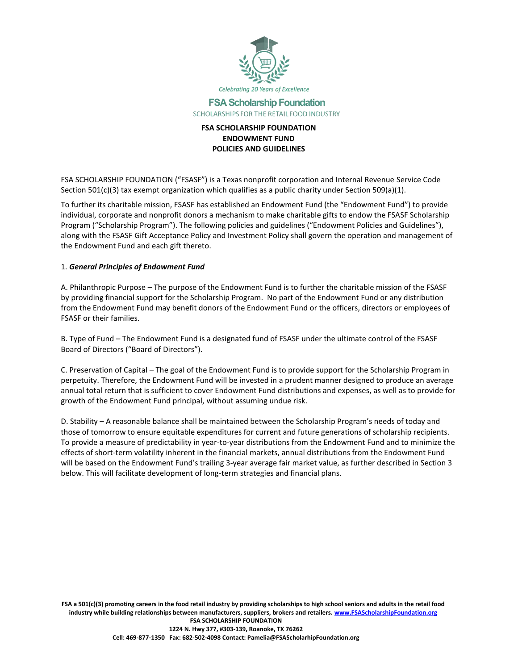

# **FSA Scholarship Foundation** SCHOLARSHIPS FOR THE RETAIL FOOD INDUSTRY

# **FSA SCHOLARSHIP FOUNDATION ENDOWMENT FUND POLICIES AND GUIDELINES**

FSA SCHOLARSHIP FOUNDATION ("FSASF") is a Texas nonprofit corporation and Internal Revenue Service Code Section 501(c)(3) tax exempt organization which qualifies as a public charity under Section 509(a)(1).

To further its charitable mission, FSASF has established an Endowment Fund (the "Endowment Fund") to provide individual, corporate and nonprofit donors a mechanism to make charitable gifts to endow the FSASF Scholarship Program ("Scholarship Program"). The following policies and guidelines ("Endowment Policies and Guidelines"), along with the FSASF Gift Acceptance Policy and Investment Policy shall govern the operation and management of the Endowment Fund and each gift thereto.

#### 1. *General Principles of Endowment Fund*

A. Philanthropic Purpose – The purpose of the Endowment Fund is to further the charitable mission of the FSASF by providing financial support for the Scholarship Program. No part of the Endowment Fund or any distribution from the Endowment Fund may benefit donors of the Endowment Fund or the officers, directors or employees of FSASF or their families.

B. Type of Fund – The Endowment Fund is a designated fund of FSASF under the ultimate control of the FSASF Board of Directors ("Board of Directors").

C. Preservation of Capital – The goal of the Endowment Fund is to provide support for the Scholarship Program in perpetuity. Therefore, the Endowment Fund will be invested in a prudent manner designed to produce an average annual total return that is sufficient to cover Endowment Fund distributions and expenses, as well as to provide for growth of the Endowment Fund principal, without assuming undue risk.

D. Stability – A reasonable balance shall be maintained between the Scholarship Program's needs of today and those of tomorrow to ensure equitable expenditures for current and future generations of scholarship recipients. To provide a measure of predictability in year-to-year distributions from the Endowment Fund and to minimize the effects of short-term volatility inherent in the financial markets, annual distributions from the Endowment Fund will be based on the Endowment Fund's trailing 3-year average fair market value, as further described in Section 3 below. This will facilitate development of long-term strategies and financial plans.

**FSA a 501(c)(3) promoting careers in the food retail industry by providing scholarships to high school seniors and adults in the retail food industry while building relationships between manufacturers, suppliers, brokers and retailers[. www.FSAScholarshipFoundation.org](http://www.fsascholarshipfoundation.org/) FSA SCHOLARSHIP FOUNDATION 1224 N. Hwy 377, #303-139, Roanoke, TX 76262 Cell: 469-877-1350 Fax: 682-502-4098 Contact: Pamelia@FSAScholarhipFoundation.org**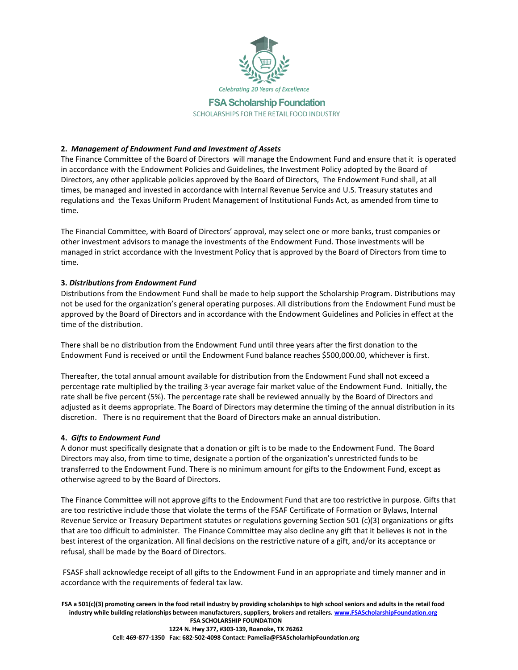

SCHOLARSHIPS FOR THE RETAIL FOOD INDUSTRY

# **2.** *Management of Endowment Fund and Investment of Assets*

The Finance Committee of the Board of Directors will manage the Endowment Fund and ensure that it is operated in accordance with the Endowment Policies and Guidelines, the Investment Policy adopted by the Board of Directors, any other applicable policies approved by the Board of Directors, The Endowment Fund shall, at all times, be managed and invested in accordance with Internal Revenue Service and U.S. Treasury statutes and regulations and the Texas Uniform Prudent Management of Institutional Funds Act, as amended from time to time.

The Financial Committee, with Board of Directors' approval, may select one or more banks, trust companies or other investment advisors to manage the investments of the Endowment Fund. Those investments will be managed in strict accordance with the Investment Policy that is approved by the Board of Directors from time to time.

#### **3.** *Distributions from Endowment Fund*

Distributions from the Endowment Fund shall be made to help support the Scholarship Program. Distributions may not be used for the organization's general operating purposes. All distributions from the Endowment Fund must be approved by the Board of Directors and in accordance with the Endowment Guidelines and Policies in effect at the time of the distribution.

There shall be no distribution from the Endowment Fund until three years after the first donation to the Endowment Fund is received or until the Endowment Fund balance reaches \$500,000.00, whichever is first.

Thereafter, the total annual amount available for distribution from the Endowment Fund shall not exceed a percentage rate multiplied by the trailing 3-year average fair market value of the Endowment Fund. Initially, the rate shall be five percent (5%). The percentage rate shall be reviewed annually by the Board of Directors and adjusted as it deems appropriate. The Board of Directors may determine the timing of the annual distribution in its discretion. There is no requirement that the Board of Directors make an annual distribution.

#### **4.** *Gifts to Endowment Fund*

A donor must specifically designate that a donation or gift is to be made to the Endowment Fund. The Board Directors may also, from time to time, designate a portion of the organization's unrestricted funds to be transferred to the Endowment Fund. There is no minimum amount for gifts to the Endowment Fund, except as otherwise agreed to by the Board of Directors.

The Finance Committee will not approve gifts to the Endowment Fund that are too restrictive in purpose. Gifts that are too restrictive include those that violate the terms of the FSAF Certificate of Formation or Bylaws, Internal Revenue Service or Treasury Department statutes or regulations governing Section 501 (c)(3) organizations or gifts that are too difficult to administer. The Finance Committee may also decline any gift that it believes is not in the best interest of the organization. All final decisions on the restrictive nature of a gift, and/or its acceptance or refusal, shall be made by the Board of Directors.

FSASF shall acknowledge receipt of all gifts to the Endowment Fund in an appropriate and timely manner and in accordance with the requirements of federal tax law.

**FSA a 501(c)(3) promoting careers in the food retail industry by providing scholarships to high school seniors and adults in the retail food industry while building relationships between manufacturers, suppliers, brokers and retailers[. www.FSAScholarshipFoundation.org](http://www.fsascholarshipfoundation.org/) FSA SCHOLARSHIP FOUNDATION 1224 N. Hwy 377, #303-139, Roanoke, TX 76262 Cell: 469-877-1350 Fax: 682-502-4098 Contact: Pamelia@FSAScholarhipFoundation.org**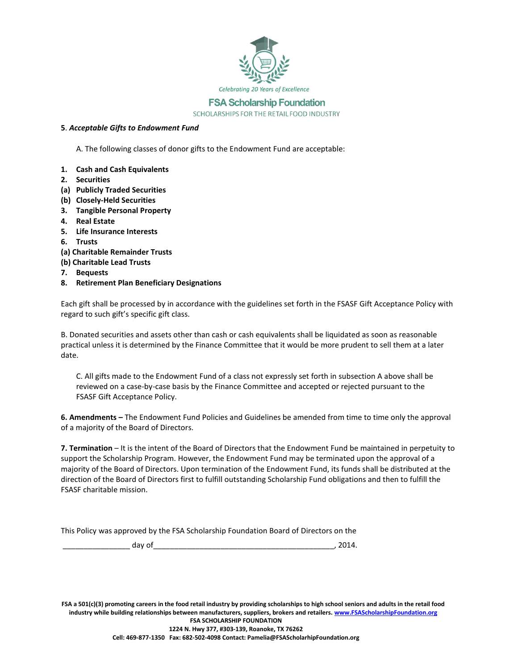

SCHOLARSHIPS FOR THE RETAIL FOOD INDUSTRY

## **5**. *Acceptable Gifts to Endowment Fund*

A. The following classes of donor gifts to the Endowment Fund are acceptable:

- **1. Cash and Cash Equivalents**
- **2. Securities**
- **(a) Publicly Traded Securities**
- **(b) Closely-Held Securities**
- **3. Tangible Personal Property**
- **4. Real Estate**
- **5. Life Insurance Interests**
- **6. Trusts**
- **(a) Charitable Remainder Trusts**
- **(b) Charitable Lead Trusts**
- **7. Bequests**
- **8. Retirement Plan Beneficiary Designations**

Each gift shall be processed by in accordance with the guidelines set forth in the FSASF Gift Acceptance Policy with regard to such gift's specific gift class.

B. Donated securities and assets other than cash or cash equivalents shall be liquidated as soon as reasonable practical unless it is determined by the Finance Committee that it would be more prudent to sell them at a later date.

C. All gifts made to the Endowment Fund of a class not expressly set forth in subsection A above shall be reviewed on a case-by-case basis by the Finance Committee and accepted or rejected pursuant to the FSASF Gift Acceptance Policy.

**6. Amendments –** The Endowment Fund Policies and Guidelines be amended from time to time only the approval of a majority of the Board of Directors.

**7. Termination** – It is the intent of the Board of Directors that the Endowment Fund be maintained in perpetuity to support the Scholarship Program. However, the Endowment Fund may be terminated upon the approval of a majority of the Board of Directors. Upon termination of the Endowment Fund, its funds shall be distributed at the direction of the Board of Directors first to fulfill outstanding Scholarship Fund obligations and then to fulfill the FSASF charitable mission.

This Policy was approved by the FSA Scholarship Foundation Board of Directors on the

| - - <b>1</b><br>uav :<br>______ |  |
|---------------------------------|--|
|---------------------------------|--|

**FSA a 501(c)(3) promoting careers in the food retail industry by providing scholarships to high school seniors and adults in the retail food industry while building relationships between manufacturers, suppliers, brokers and retailers[. www.FSAScholarshipFoundation.org](http://www.fsascholarshipfoundation.org/) FSA SCHOLARSHIP FOUNDATION 1224 N. Hwy 377, #303-139, Roanoke, TX 76262** 

**Cell: 469-877-1350 Fax: 682-502-4098 Contact: Pamelia@FSAScholarhipFoundation.org**